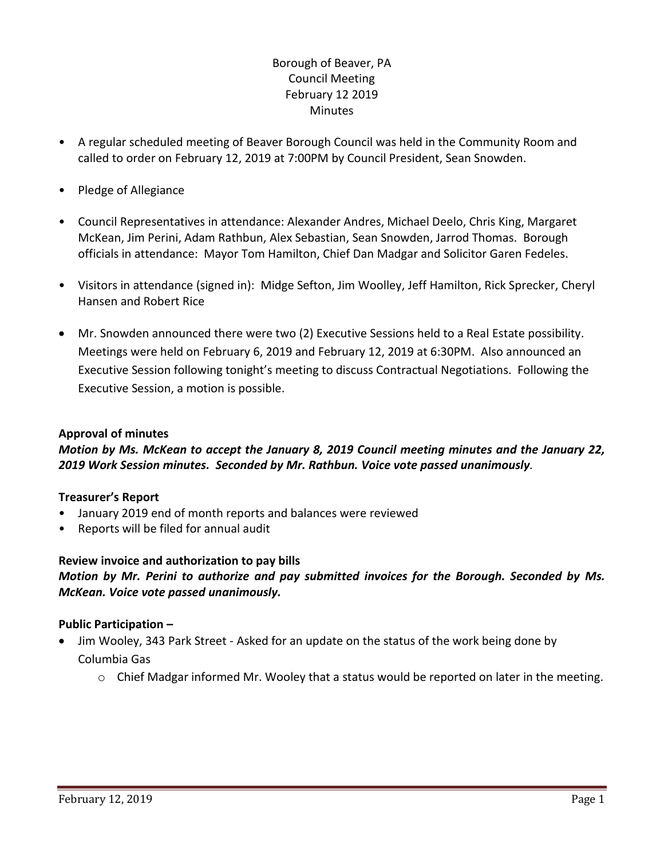## Borough of Beaver, PA Council Meeting February 12 2019 **Minutes**

- A regular scheduled meeting of Beaver Borough Council was held in the Community Room and called to order on February 12, 2019 at 7:00PM by Council President, Sean Snowden.
- Pledge of Allegiance
- Council Representatives in attendance: Alexander Andres, Michael Deelo, Chris King, Margaret McKean, Jim Perini, Adam Rathbun, Alex Sebastian, Sean Snowden, Jarrod Thomas. Borough officials in attendance: Mayor Tom Hamilton, Chief Dan Madgar and Solicitor Garen Fedeles.
- Visitors in attendance (signed in): Midge Sefton, Jim Woolley, Jeff Hamilton, Rick Sprecker, Cheryl Hansen and Robert Rice
- Mr. Snowden announced there were two (2) Executive Sessions held to a Real Estate possibility. Meetings were held on February 6, 2019 and February 12, 2019 at 6:30PM. Also announced an Executive Session following tonight's meeting to discuss Contractual Negotiations. Following the Executive Session, a motion is possible.

### **Approval of minutes**

### *Motion by Ms. McKean to accept the January 8, 2019 Council meeting minutes and the January 22, 2019 Work Session minutes. Seconded by Mr. Rathbun. Voice vote passed unanimously.*

### **Treasurer's Report**

- January 2019 end of month reports and balances were reviewed
- Reports will be filed for annual audit

### **Review invoice and authorization to pay bills**

### *Motion by Mr. Perini to authorize and pay submitted invoices for the Borough. Seconded by Ms. McKean. Voice vote passed unanimously.*

### **Public Participation –**

- Jim Wooley, 343 Park Street Asked for an update on the status of the work being done by Columbia Gas
	- $\circ$  Chief Madgar informed Mr. Wooley that a status would be reported on later in the meeting.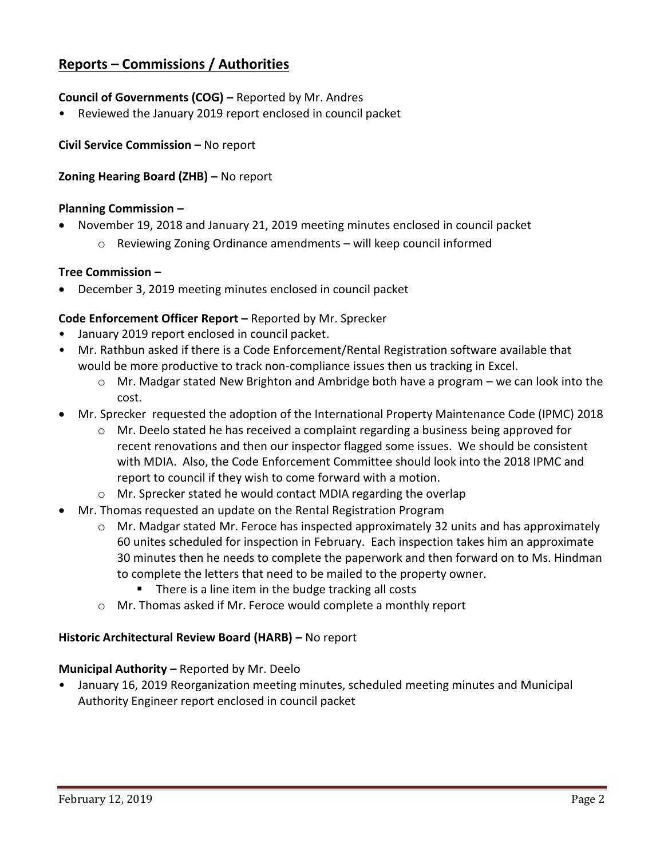# **Reports – Commissions / Authorities**

### **Council of Governments (COG) –** Reported by Mr. Andres

• Reviewed the January 2019 report enclosed in council packet

**Civil Service Commission –** No report

### **Zoning Hearing Board (ZHB) –** No report

### **Planning Commission –**

- November 19, 2018 and January 21, 2019 meeting minutes enclosed in council packet
	- o Reviewing Zoning Ordinance amendments will keep council informed

#### **Tree Commission –**

December 3, 2019 meeting minutes enclosed in council packet

### **Code Enforcement Officer Report –** Reported by Mr. Sprecker

- January 2019 report enclosed in council packet.
- Mr. Rathbun asked if there is a Code Enforcement/Rental Registration software available that would be more productive to track non-compliance issues then us tracking in Excel.
	- o Mr. Madgar stated New Brighton and Ambridge both have a program we can look into the cost.
- Mr. Sprecker requested the adoption of the International Property Maintenance Code (IPMC) 2018
	- $\circ$  Mr. Deelo stated he has received a complaint regarding a business being approved for recent renovations and then our inspector flagged some issues. We should be consistent with MDIA. Also, the Code Enforcement Committee should look into the 2018 IPMC and report to council if they wish to come forward with a motion.
	- o Mr. Sprecker stated he would contact MDIA regarding the overlap
- Mr. Thomas requested an update on the Rental Registration Program
	- $\circ$  Mr. Madgar stated Mr. Feroce has inspected approximately 32 units and has approximately 60 unites scheduled for inspection in February. Each inspection takes him an approximate 30 minutes then he needs to complete the paperwork and then forward on to Ms. Hindman to complete the letters that need to be mailed to the property owner.
		- **There is a line item in the budge tracking all costs**
	- o Mr. Thomas asked if Mr. Feroce would complete a monthly report

### **Historic Architectural Review Board (HARB) –** No report

### **Municipal Authority –** Reported by Mr. Deelo

• January 16, 2019 Reorganization meeting minutes, scheduled meeting minutes and Municipal Authority Engineer report enclosed in council packet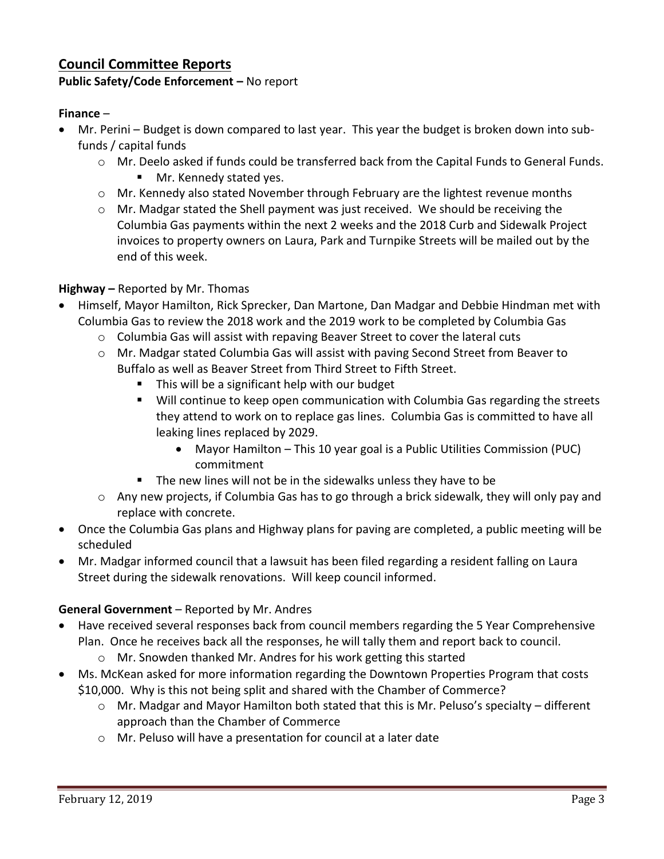## **Council Committee Reports**

### **Public Safety/Code Enforcement –** No report

### **Finance** –

- Mr. Perini Budget is down compared to last year. This year the budget is broken down into subfunds / capital funds
	- o Mr. Deelo asked if funds could be transferred back from the Capital Funds to General Funds. **Mr. Kennedy stated yes.**
	- $\circ$  Mr. Kennedy also stated November through February are the lightest revenue months
	- o Mr. Madgar stated the Shell payment was just received. We should be receiving the Columbia Gas payments within the next 2 weeks and the 2018 Curb and Sidewalk Project invoices to property owners on Laura, Park and Turnpike Streets will be mailed out by the end of this week.

### **Highway –** Reported by Mr. Thomas

- Himself, Mayor Hamilton, Rick Sprecker, Dan Martone, Dan Madgar and Debbie Hindman met with Columbia Gas to review the 2018 work and the 2019 work to be completed by Columbia Gas
	- $\circ$  Columbia Gas will assist with repaving Beaver Street to cover the lateral cuts
	- o Mr. Madgar stated Columbia Gas will assist with paving Second Street from Beaver to Buffalo as well as Beaver Street from Third Street to Fifth Street.
		- **This will be a significant help with our budget**
		- Will continue to keep open communication with Columbia Gas regarding the streets they attend to work on to replace gas lines. Columbia Gas is committed to have all leaking lines replaced by 2029.
			- Mayor Hamilton This 10 year goal is a Public Utilities Commission (PUC) commitment
		- The new lines will not be in the sidewalks unless they have to be
	- $\circ$  Any new projects, if Columbia Gas has to go through a brick sidewalk, they will only pay and replace with concrete.
- Once the Columbia Gas plans and Highway plans for paving are completed, a public meeting will be scheduled
- Mr. Madgar informed council that a lawsuit has been filed regarding a resident falling on Laura Street during the sidewalk renovations. Will keep council informed.

### **General Government** – Reported by Mr. Andres

- Have received several responses back from council members regarding the 5 Year Comprehensive Plan. Once he receives back all the responses, he will tally them and report back to council.
	- o Mr. Snowden thanked Mr. Andres for his work getting this started
- Ms. McKean asked for more information regarding the Downtown Properties Program that costs \$10,000. Why is this not being split and shared with the Chamber of Commerce?
	- $\circ$  Mr. Madgar and Mayor Hamilton both stated that this is Mr. Peluso's specialty different approach than the Chamber of Commerce
	- o Mr. Peluso will have a presentation for council at a later date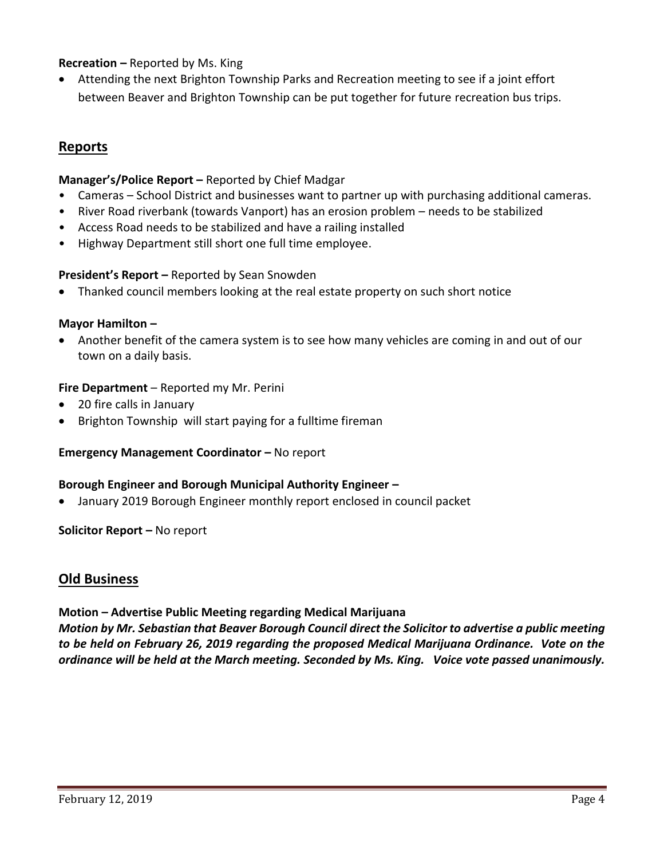### **Recreation –** Reported by Ms. King

 Attending the next Brighton Township Parks and Recreation meeting to see if a joint effort between Beaver and Brighton Township can be put together for future recreation bus trips.

## **Reports**

### **Manager's/Police Report –** Reported by Chief Madgar

- Cameras School District and businesses want to partner up with purchasing additional cameras.
- River Road riverbank (towards Vanport) has an erosion problem needs to be stabilized
- Access Road needs to be stabilized and have a railing installed
- Highway Department still short one full time employee.

### **President's Report –** Reported by Sean Snowden

Thanked council members looking at the real estate property on such short notice

### **Mayor Hamilton –**

 Another benefit of the camera system is to see how many vehicles are coming in and out of our town on a daily basis.

### **Fire Department** – Reported my Mr. Perini

- 20 fire calls in January
- Brighton Township will start paying for a fulltime fireman

### **Emergency Management Coordinator - No report**

#### **Borough Engineer and Borough Municipal Authority Engineer –**

January 2019 Borough Engineer monthly report enclosed in council packet

#### **Solicitor Report –** No report

### **Old Business**

### **Motion – Advertise Public Meeting regarding Medical Marijuana**

*Motion by Mr. Sebastian that Beaver Borough Council direct the Solicitor to advertise a public meeting to be held on February 26, 2019 regarding the proposed Medical Marijuana Ordinance. Vote on the ordinance will be held at the March meeting. Seconded by Ms. King. Voice vote passed unanimously.*